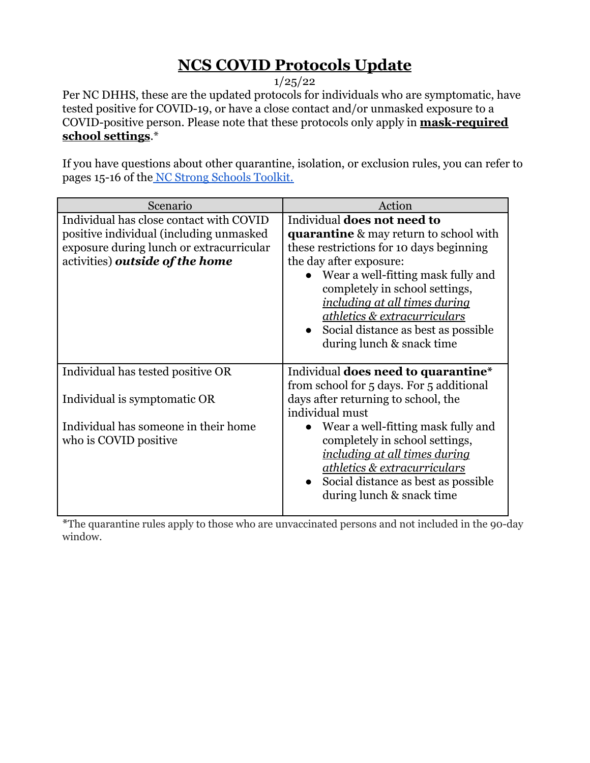## **NCS COVID Protocols Update**

1/25/22

Per NC DHHS, these are the updated protocols for individuals who are symptomatic, have tested positive for COVID-19, or have a close contact and/or unmasked exposure to a COVID-positive person. Please note that these protocols only apply in **mask-required school settings**.\*

If you have questions about other quarantine, isolation, or exclusion rules, you can refer to pages 15-16 of the [NC Strong Schools Toolkit.](https://covid19.ncdhhs.gov/media/164/open)

| Scenario                                                                                                                                                          | Action                                                                                                                                                                                                                                                                                                                                                                             |
|-------------------------------------------------------------------------------------------------------------------------------------------------------------------|------------------------------------------------------------------------------------------------------------------------------------------------------------------------------------------------------------------------------------------------------------------------------------------------------------------------------------------------------------------------------------|
| Individual has close contact with COVID<br>positive individual (including unmasked<br>exposure during lunch or extracurricular<br>activities) outside of the home | Individual <b>does not need to</b><br><b>quarantine</b> & may return to school with<br>these restrictions for 10 days beginning<br>the day after exposure:<br>Wear a well-fitting mask fully and<br>completely in school settings,<br>including at all times during<br><u>athletics &amp; extracurriculars</u><br>Social distance as best as possible<br>during lunch & snack time |
| Individual has tested positive OR                                                                                                                                 | Individual <b>does need to quarantine</b> *<br>from school for 5 days. For 5 additional                                                                                                                                                                                                                                                                                            |
| Individual is symptomatic OR                                                                                                                                      | days after returning to school, the<br>individual must                                                                                                                                                                                                                                                                                                                             |
| Individual has someone in their home<br>who is COVID positive.                                                                                                    | Wear a well-fitting mask fully and<br>completely in school settings,<br>including at all times during<br>athletics & extracurriculars<br>Social distance as best as possible<br>during lunch & snack time                                                                                                                                                                          |

\*The quarantine rules apply to those who are unvaccinated persons and not included in the 90-day window.